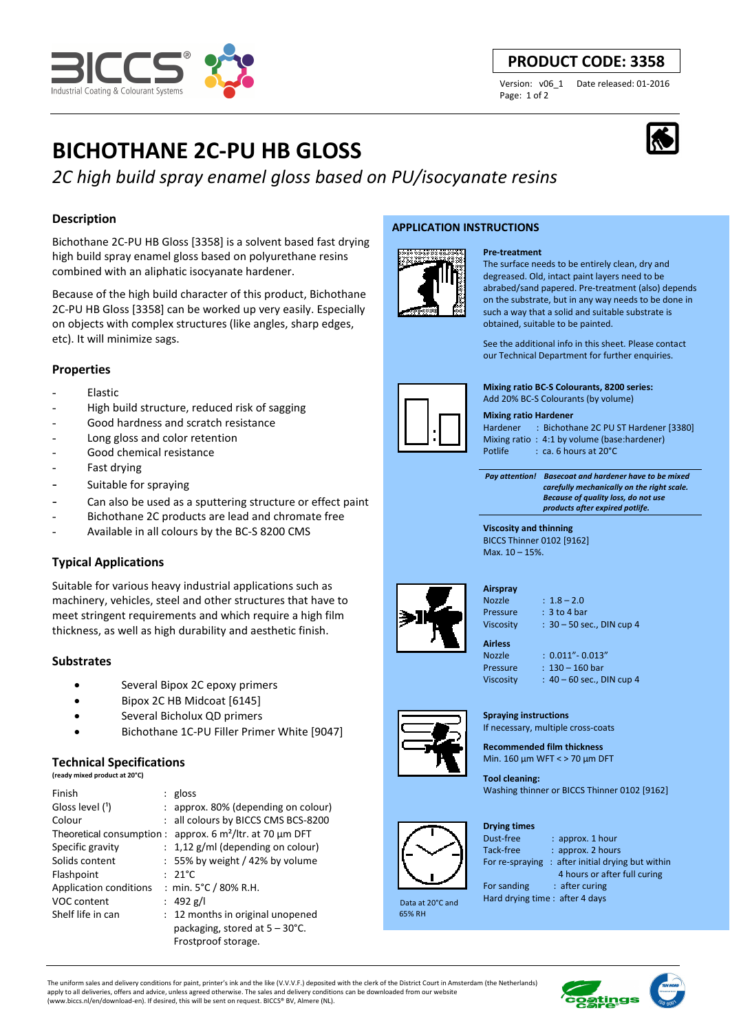# **BICHOTHANE 2C-PU HB GLOSS**

## *2C high build spray enamel gloss based on PU/isocyanate resins*

## **Description**

Bichothane 2C-PU HB Gloss [3358] is a solvent based fast drying high build spray enamel gloss based on polyurethane resins combined with an aliphatic isocyanate hardener.

Because of the high build character of this product, Bichothane 2C-PU HB Gloss [3358] can be worked up very easily. Especially on objects with complex structures (like angles, sharp edges, etc). It will minimize sags.

## **Properties**

- **Elastic**
- High build structure, reduced risk of sagging
- Good hardness and scratch resistance
- Long gloss and color retention
- Good chemical resistance
- Fast drving
- Suitable for spraying
- Can also be used as a sputtering structure or effect paint
- Bichothane 2C products are lead and chromate free
- Available in all colours by the BC-S 8200 CMS

## **Typical Applications**

Suitable for various heavy industrial applications such as machinery, vehicles, steel and other structures that have to meet stringent requirements and which require a high film thickness, as well as high durability and aesthetic finish.

## **Substrates**

- Several Bipox 2C epoxy primers
- Bipox 2C HB Midcoat [6145]
- Several Bicholux QD primers
- Bichothane 1C-PU Filler Primer White [9047]

## **Technical Specifications**

|  | (ready mixed product at 20°C) |  |  |
|--|-------------------------------|--|--|

| Finish                 | : $gloss$                                                    |
|------------------------|--------------------------------------------------------------|
| Gloss level (1)        | $:$ approx. 80% (depending on colour)                        |
| Colour                 | : all colours by BICCS CMS BCS-8200                          |
|                        | Theoretical consumption : approx. 6 $m^2$ /ltr. at 70 µm DFT |
| Specific gravity       | $: 1,12$ g/ml (depending on colour)                          |
| Solids content         | $: 55\%$ by weight / 42% by volume                           |
| Flashpoint             | $: 21^{\circ}$ C                                             |
| Application conditions | : min. $5^{\circ}$ C / 80% R.H.                              |
| VOC content            | : 492 g/l                                                    |
| Shelf life in can      | : 12 months in original unopened                             |
|                        | packaging, stored at $5 - 30^{\circ}$ C.                     |
|                        | Frostproof storage.                                          |

#### **APPLICATION INSTRUCTIONS**



#### **Pre-treatment**

The surface needs to be entirely clean, dry and degreased. Old, intact paint layers need to be abrabed/sand papered. Pre-treatment (also) depends on the substrate, but in any way needs to be done in such a way that a solid and suitable substrate is obtained, suitable to be painted.

See the additional info in this sheet. Please contact our Technical Department for further enquiries.

**Mixing ratio BC-S Colourants, 8200 series:** 

Add 20% BC-S Colourants (by volume)

#### **Mixing ratio Hardener**

Hardener : Bichothane 2C PU ST Hardener [3380] Mixing ratio : 4:1 by volume (base:hardener) Potlife : ca. 6 hours at 20°C

 *Pay attention! Basecoat and hardener have to be mixed carefully mechanically on the right scale. Because of quality loss, do not use products after expired potlife.*

**Viscosity and thinning**  BICCS Thinner 0102 [9162] Max. 10 – 15%.



#### **Airspray**

 $Nozz$ le  $: 1.8 - 2.0$ 

Pressure : 3 to 4 bar Viscosity : 30 – 50 sec., DIN cup 4

**Airless** 

**Drying times** 

Nozzle : 0.011"- 0.013" Pressure : 130 – 160 bar Viscosity : 40 – 60 sec., DIN cup 4

**Spraying instructions** 

If necessary, multiple cross-coats **Recommended film thickness** 

Min. 160 µm WFT < > 70 µm DFT

**Tool cleaning:**  Washing thinner or BICCS Thinner 0102 [9162]

| Dust-free                      | $:$ approx. 1 hour                               |
|--------------------------------|--------------------------------------------------|
| Tack-free                      | : approx. 2 hours                                |
|                                | For re-spraying: after initial drying but within |
|                                | 4 hours or after full curing                     |
| For sanding                    | $:$ after curing                                 |
| Hard drying time: after 4 days |                                                  |

 Data at 20°C and 65% RH

For sanding : after curing Hard drying time : after 4 days

The uniform sales and delivery conditions for paint, printer's ink and the like (V.V.V.F.) deposited with the clerk of the District Court in Amsterdam (the Netherlands) apply to all deliveries, offers and advice, unless agreed otherwise. The sales and delivery conditions can be downloaded from our website (www.biccs.nl/en/download-en). If desired, this will be sent on request. BICCS® BV, Almere (NL).



## **PRODUCT CODE: 3358**

Version: v06\_1 Date released: 01-2016 Page: 1 of 2